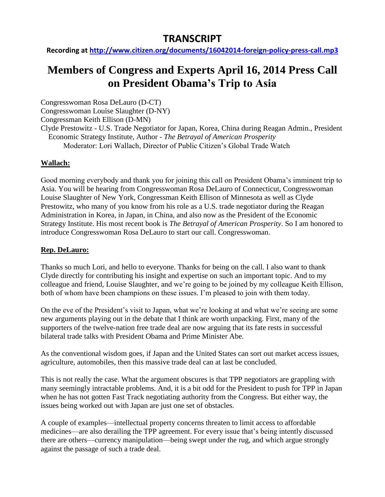## **TRANSCRIPT**

**Recording at<http://www.citizen.org/documents/16042014-foreign-policy-press-call.mp3>**

# **Members of Congress and Experts April 16, 2014 Press Call on President Obama's Trip to Asia**

Congresswoman Rosa DeLauro (D-CT)

Congresswoman Louise Slaughter (D-NY)

Congressman Keith Ellison (D-MN)

Clyde Prestowitz - U.S. Trade Negotiator for Japan, Korea, China during Reagan Admin., President Economic Strategy Institute, Author - *The Betrayal of American Prosperity* Moderator: Lori Wallach, Director of Public Citizen's Global Trade Watch

## **Wallach:**

Good morning everybody and thank you for joining this call on President Obama's imminent trip to Asia. You will be hearing from Congresswoman Rosa DeLauro of Connecticut, Congresswoman Louise Slaughter of New York, Congressman Keith Ellison of Minnesota as well as Clyde Prestowitz, who many of you know from his role as a U.S. trade negotiator during the Reagan Administration in Korea, in Japan, in China, and also now as the President of the Economic Strategy Institute. His most recent book is *The Betrayal of American Prosperity*. So I am honored to introduce Congresswoman Rosa DeLauro to start our call. Congresswoman.

## **Rep. DeLauro:**

Thanks so much Lori, and hello to everyone. Thanks for being on the call. I also want to thank Clyde directly for contributing his insight and expertise on such an important topic. And to my colleague and friend, Louise Slaughter, and we're going to be joined by my colleague Keith Ellison, both of whom have been champions on these issues. I'm pleased to join with them today.

On the eve of the President's visit to Japan, what we're looking at and what we're seeing are some new arguments playing out in the debate that I think are worth unpacking. First, many of the supporters of the twelve-nation free trade deal are now arguing that its fate rests in successful bilateral trade talks with President Obama and Prime Minister Abe.

As the conventional wisdom goes, if Japan and the United States can sort out market access issues, agriculture, automobiles, then this massive trade deal can at last be concluded.

This is not really the case. What the argument obscures is that TPP negotiators are grappling with many seemingly intractable problems. And, it is a bit odd for the President to push for TPP in Japan when he has not gotten Fast Track negotiating authority from the Congress. But either way, the issues being worked out with Japan are just one set of obstacles.

A couple of examples—intellectual property concerns threaten to limit access to affordable medicines—are also derailing the TPP agreement. For every issue that's being intently discussed there are others—currency manipulation—being swept under the rug, and which argue strongly against the passage of such a trade deal.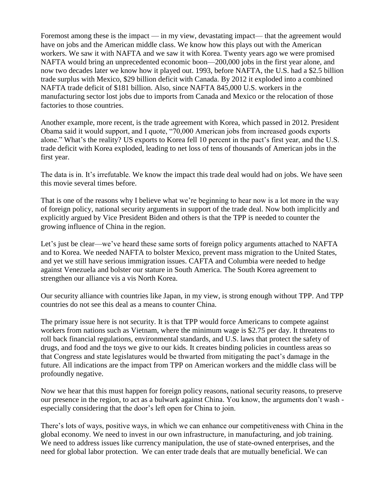Foremost among these is the impact — in my view, devastating impact— that the agreement would have on jobs and the American middle class. We know how this plays out with the American workers. We saw it with NAFTA and we saw it with Korea. Twenty years ago we were promised NAFTA would bring an unprecedented economic boon—200,000 jobs in the first year alone, and now two decades later we know how it played out. 1993, before NAFTA, the U.S. had a \$2.5 billion trade surplus with Mexico, \$29 billion deficit with Canada. By 2012 it exploded into a combined NAFTA trade deficit of \$181 billion. Also, since NAFTA 845,000 U.S. workers in the manufacturing sector lost jobs due to imports from Canada and Mexico or the relocation of those factories to those countries.

Another example, more recent, is the trade agreement with Korea, which passed in 2012. President Obama said it would support, and I quote, "70,000 American jobs from increased goods exports alone." What's the reality? US exports to Korea fell 10 percent in the pact's first year, and the U.S. trade deficit with Korea exploded, leading to net loss of tens of thousands of American jobs in the first year.

The data is in. It's irrefutable. We know the impact this trade deal would had on jobs. We have seen this movie several times before.

That is one of the reasons why I believe what we're beginning to hear now is a lot more in the way of foreign policy, national security arguments in support of the trade deal. Now both implicitly and explicitly argued by Vice President Biden and others is that the TPP is needed to counter the growing influence of China in the region.

Let's just be clear—we've heard these same sorts of foreign policy arguments attached to NAFTA and to Korea. We needed NAFTA to bolster Mexico, prevent mass migration to the United States, and yet we still have serious immigration issues. CAFTA and Columbia were needed to hedge against Venezuela and bolster our stature in South America. The South Korea agreement to strengthen our alliance vis a vis North Korea.

Our security alliance with countries like Japan, in my view, is strong enough without TPP. And TPP countries do not see this deal as a means to counter China.

The primary issue here is not security. It is that TPP would force Americans to compete against workers from nations such as Vietnam, where the minimum wage is \$2.75 per day. It threatens to roll back financial regulations, environmental standards, and U.S. laws that protect the safety of drugs, and food and the toys we give to our kids. It creates binding policies in countless areas so that Congress and state legislatures would be thwarted from mitigating the pact's damage in the future. All indications are the impact from TPP on American workers and the middle class will be profoundly negative.

Now we hear that this must happen for foreign policy reasons, national security reasons, to preserve our presence in the region, to act as a bulwark against China. You know, the arguments don't wash especially considering that the door's left open for China to join.

There's lots of ways, positive ways, in which we can enhance our competitiveness with China in the global economy. We need to invest in our own infrastructure, in manufacturing, and job training. We need to address issues like currency manipulation, the use of state-owned enterprises, and the need for global labor protection. We can enter trade deals that are mutually beneficial. We can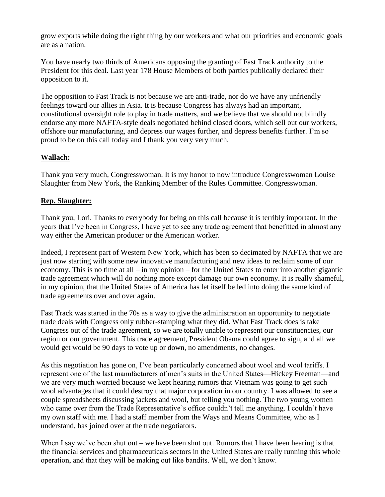grow exports while doing the right thing by our workers and what our priorities and economic goals are as a nation.

You have nearly two thirds of Americans opposing the granting of Fast Track authority to the President for this deal. Last year 178 House Members of both parties publically declared their opposition to it.

The opposition to Fast Track is not because we are anti-trade, nor do we have any unfriendly feelings toward our allies in Asia. It is because Congress has always had an important, constitutional oversight role to play in trade matters, and we believe that we should not blindly endorse any more NAFTA-style deals negotiated behind closed doors, which sell out our workers, offshore our manufacturing, and depress our wages further, and depress benefits further. I'm so proud to be on this call today and I thank you very very much.

### **Wallach:**

Thank you very much, Congresswoman. It is my honor to now introduce Congresswoman Louise Slaughter from New York, the Ranking Member of the Rules Committee. Congresswoman.

#### **Rep. Slaughter:**

Thank you, Lori. Thanks to everybody for being on this call because it is terribly important. In the years that I've been in Congress, I have yet to see any trade agreement that benefitted in almost any way either the American producer or the American worker.

Indeed, I represent part of Western New York, which has been so decimated by NAFTA that we are just now starting with some new innovative manufacturing and new ideas to reclaim some of our economy. This is no time at all – in my opinion – for the United States to enter into another gigantic trade agreement which will do nothing more except damage our own economy. It is really shameful, in my opinion, that the United States of America has let itself be led into doing the same kind of trade agreements over and over again.

Fast Track was started in the 70s as a way to give the administration an opportunity to negotiate trade deals with Congress only rubber-stamping what they did. What Fast Track does is take Congress out of the trade agreement, so we are totally unable to represent our constituencies, our region or our government. This trade agreement, President Obama could agree to sign, and all we would get would be 90 days to vote up or down, no amendments, no changes.

As this negotiation has gone on, I've been particularly concerned about wool and wool tariffs. I represent one of the last manufacturers of men's suits in the United States—Hickey Freeman—and we are very much worried because we kept hearing rumors that Vietnam was going to get such wool advantages that it could destroy that major corporation in our country. I was allowed to see a couple spreadsheets discussing jackets and wool, but telling you nothing. The two young women who came over from the Trade Representative's office couldn't tell me anything. I couldn't have my own staff with me. I had a staff member from the Ways and Means Committee, who as I understand, has joined over at the trade negotiators.

When I say we've been shut out – we have been shut out. Rumors that I have been hearing is that the financial services and pharmaceuticals sectors in the United States are really running this whole operation, and that they will be making out like bandits. Well, we don't know.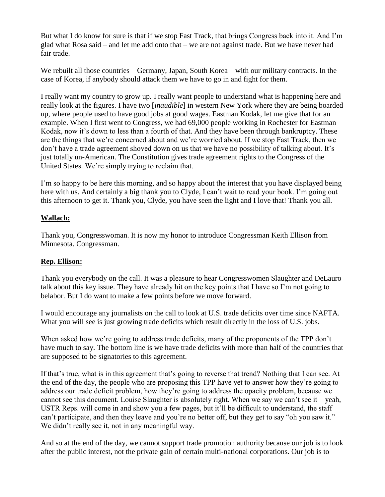But what I do know for sure is that if we stop Fast Track, that brings Congress back into it. And I'm glad what Rosa said – and let me add onto that – we are not against trade. But we have never had fair trade.

We rebuilt all those countries – Germany, Japan, South Korea – with our military contracts. In the case of Korea, if anybody should attack them we have to go in and fight for them.

I really want my country to grow up. I really want people to understand what is happening here and really look at the figures. I have two [*inaudible*] in western New York where they are being boarded up, where people used to have good jobs at good wages. Eastman Kodak, let me give that for an example. When I first went to Congress, we had 69,000 people working in Rochester for Eastman Kodak, now it's down to less than a fourth of that. And they have been through bankruptcy. These are the things that we're concerned about and we're worried about. If we stop Fast Track, then we don't have a trade agreement shoved down on us that we have no possibility of talking about. It's just totally un-American. The Constitution gives trade agreement rights to the Congress of the United States. We're simply trying to reclaim that.

I'm so happy to be here this morning, and so happy about the interest that you have displayed being here with us. And certainly a big thank you to Clyde, I can't wait to read your book. I'm going out this afternoon to get it. Thank you, Clyde, you have seen the light and I love that! Thank you all.

#### **Wallach:**

Thank you, Congresswoman. It is now my honor to introduce Congressman Keith Ellison from Minnesota. Congressman.

#### **Rep. Ellison:**

Thank you everybody on the call. It was a pleasure to hear Congresswomen Slaughter and DeLauro talk about this key issue. They have already hit on the key points that I have so I'm not going to belabor. But I do want to make a few points before we move forward.

I would encourage any journalists on the call to look at U.S. trade deficits over time since NAFTA. What you will see is just growing trade deficits which result directly in the loss of U.S. jobs.

When asked how we're going to address trade deficits, many of the proponents of the TPP don't have much to say. The bottom line is we have trade deficits with more than half of the countries that are supposed to be signatories to this agreement.

If that's true, what is in this agreement that's going to reverse that trend? Nothing that I can see. At the end of the day, the people who are proposing this TPP have yet to answer how they're going to address our trade deficit problem, how they're going to address the opacity problem, because we cannot see this document. Louise Slaughter is absolutely right. When we say we can't see it—yeah, USTR Reps. will come in and show you a few pages, but it'll be difficult to understand, the staff can't participate, and then they leave and you're no better off, but they get to say "oh you saw it." We didn't really see it, not in any meaningful way.

And so at the end of the day, we cannot support trade promotion authority because our job is to look after the public interest, not the private gain of certain multi-national corporations. Our job is to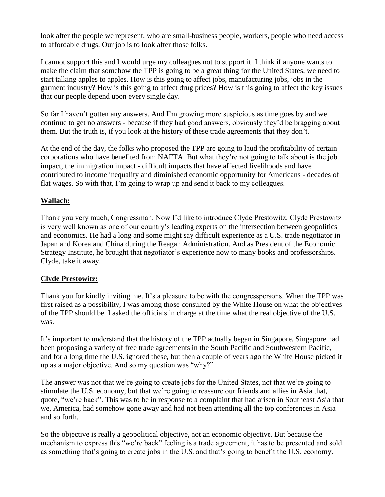look after the people we represent, who are small-business people, workers, people who need access to affordable drugs. Our job is to look after those folks.

I cannot support this and I would urge my colleagues not to support it. I think if anyone wants to make the claim that somehow the TPP is going to be a great thing for the United States, we need to start talking apples to apples. How is this going to affect jobs, manufacturing jobs, jobs in the garment industry? How is this going to affect drug prices? How is this going to affect the key issues that our people depend upon every single day.

So far I haven't gotten any answers. And I'm growing more suspicious as time goes by and we continue to get no answers - because if they had good answers, obviously they'd be bragging about them. But the truth is, if you look at the history of these trade agreements that they don't.

At the end of the day, the folks who proposed the TPP are going to laud the profitability of certain corporations who have benefited from NAFTA. But what they're not going to talk about is the job impact, the immigration impact - difficult impacts that have affected livelihoods and have contributed to income inequality and diminished economic opportunity for Americans - decades of flat wages. So with that, I'm going to wrap up and send it back to my colleagues.

#### **Wallach:**

Thank you very much, Congressman. Now I'd like to introduce Clyde Prestowitz. Clyde Prestowitz is very well known as one of our country's leading experts on the intersection between geopolitics and economics. He had a long and some might say difficult experience as a U.S. trade negotiator in Japan and Korea and China during the Reagan Administration. And as President of the Economic Strategy Institute, he brought that negotiator's experience now to many books and professorships. Clyde, take it away.

#### **Clyde Prestowitz:**

Thank you for kindly inviting me. It's a pleasure to be with the congresspersons. When the TPP was first raised as a possibility, I was among those consulted by the White House on what the objectives of the TPP should be. I asked the officials in charge at the time what the real objective of the U.S. was.

It's important to understand that the history of the TPP actually began in Singapore. Singapore had been proposing a variety of free trade agreements in the South Pacific and Southwestern Pacific, and for a long time the U.S. ignored these, but then a couple of years ago the White House picked it up as a major objective. And so my question was "why?"

The answer was not that we're going to create jobs for the United States, not that we're going to stimulate the U.S. economy, but that we're going to reassure our friends and allies in Asia that, quote, "we're back". This was to be in response to a complaint that had arisen in Southeast Asia that we, America, had somehow gone away and had not been attending all the top conferences in Asia and so forth.

So the objective is really a geopolitical objective, not an economic objective. But because the mechanism to express this "we're back" feeling is a trade agreement, it has to be presented and sold as something that's going to create jobs in the U.S. and that's going to benefit the U.S. economy.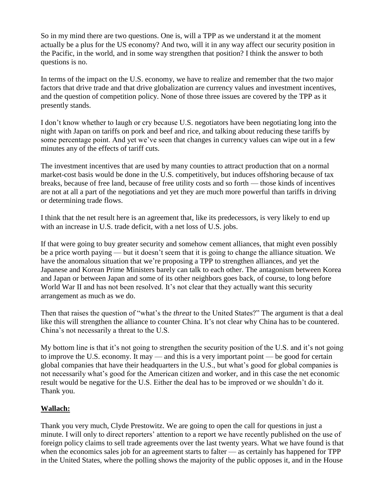So in my mind there are two questions. One is, will a TPP as we understand it at the moment actually be a plus for the US economy? And two, will it in any way affect our security position in the Pacific, in the world, and in some way strengthen that position? I think the answer to both questions is no.

In terms of the impact on the U.S. economy, we have to realize and remember that the two major factors that drive trade and that drive globalization are currency values and investment incentives, and the question of competition policy. None of those three issues are covered by the TPP as it presently stands.

I don't know whether to laugh or cry because U.S. negotiators have been negotiating long into the night with Japan on tariffs on pork and beef and rice, and talking about reducing these tariffs by some percentage point. And yet we've seen that changes in currency values can wipe out in a few minutes any of the effects of tariff cuts.

The investment incentives that are used by many counties to attract production that on a normal market-cost basis would be done in the U.S. competitively, but induces offshoring because of tax breaks, because of free land, because of free utility costs and so forth — those kinds of incentives are not at all a part of the negotiations and yet they are much more powerful than tariffs in driving or determining trade flows.

I think that the net result here is an agreement that, like its predecessors, is very likely to end up with an increase in U.S. trade deficit, with a net loss of U.S. jobs.

If that were going to buy greater security and somehow cement alliances, that might even possibly be a price worth paying — but it doesn't seem that it is going to change the alliance situation. We have the anomalous situation that we're proposing a TPP to strengthen alliances, and yet the Japanese and Korean Prime Ministers barely can talk to each other. The antagonism between Korea and Japan or between Japan and some of its other neighbors goes back, of course, to long before World War II and has not been resolved. It's not clear that they actually want this security arrangement as much as we do.

Then that raises the question of "what's the *threat* to the United States?" The argument is that a deal like this will strengthen the alliance to counter China. It's not clear why China has to be countered. China's not necessarily a threat to the U.S.

My bottom line is that it's not going to strengthen the security position of the U.S. and it's not going to improve the U.S. economy. It may — and this is a very important point — be good for certain global companies that have their headquarters in the U.S., but what's good for global companies is not necessarily what's good for the American citizen and worker, and in this case the net economic result would be negative for the U.S. Either the deal has to be improved or we shouldn't do it. Thank you.

#### **Wallach:**

Thank you very much, Clyde Prestowitz. We are going to open the call for questions in just a minute. I will only to direct reporters' attention to a report we have recently published on the use of foreign policy claims to sell trade agreements over the last twenty years. What we have found is that when the economics sales job for an agreement starts to falter — as certainly has happened for TPP in the United States, where the polling shows the majority of the public opposes it, and in the House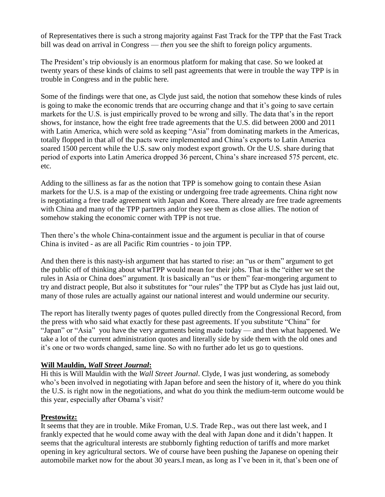of Representatives there is such a strong majority against Fast Track for the TPP that the Fast Track bill was dead on arrival in Congress — *then* you see the shift to foreign policy arguments.

The President's trip obviously is an enormous platform for making that case. So we looked at twenty years of these kinds of claims to sell past agreements that were in trouble the way TPP is in trouble in Congress and in the public here.

Some of the findings were that one, as Clyde just said, the notion that somehow these kinds of rules is going to make the economic trends that are occurring change and that it's going to save certain markets for the U.S. is just empirically proved to be wrong and silly. The data that's in the report shows, for instance, how the eight free trade agreements that the U.S. did between 2000 and 2011 with Latin America, which were sold as keeping "Asia" from dominating markets in the Americas, totally flopped in that all of the pacts were implemented and China's exports to Latin America soared 1500 percent while the U.S. saw only modest export growth. Or the U.S. share during that period of exports into Latin America dropped 36 percent, China's share increased 575 percent, etc. etc.

Adding to the silliness as far as the notion that TPP is somehow going to contain these Asian markets for the U.S. is a map of the existing or undergoing free trade agreements. China right now is negotiating a free trade agreement with Japan and Korea. There already are free trade agreements with China and many of the TPP partners and/or they see them as close allies. The notion of somehow staking the economic corner with TPP is not true.

Then there's the whole China-containment issue and the argument is peculiar in that of course China is invited - as are all Pacific Rim countries - to join TPP.

And then there is this nasty-ish argument that has started to rise: an "us or them" argument to get the public off of thinking about whatTPP would mean for their jobs. That is the "either we set the rules in Asia or China does" argument. It is basically an "us or them" fear-mongering argument to try and distract people, But also it substitutes for "our rules" the TPP but as Clyde has just laid out, many of those rules are actually against our national interest and would undermine our security.

The report has literally twenty pages of quotes pulled directly from the Congressional Record, from the press with who said what exactly for these past agreements. If you substitute "China" for "Japan" or "Asia" you have the very arguments being made today — and then what happened. We take a lot of the current administration quotes and literally side by side them with the old ones and it's one or two words changed, same line. So with no further ado let us go to questions.

#### **Will Mauldin,** *Wall Street Journal***:**

Hi this is Will Mauldin with the *Wall Street Journal*. Clyde, I was just wondering, as somebody who's been involved in negotiating with Japan before and seen the history of it, where do you think the U.S. is right now in the negotiations, and what do you think the medium-term outcome would be this year, especially after Obama's visit?

#### **Prestowitz:**

It seems that they are in trouble. Mike Froman, U.S. Trade Rep., was out there last week, and I frankly expected that he would come away with the deal with Japan done and it didn't happen. It seems that the agricultural interests are stubbornly fighting reduction of tariffs and more market opening in key agricultural sectors. We of course have been pushing the Japanese on opening their automobile market now for the about 30 years.I mean, as long as I've been in it, that's been one of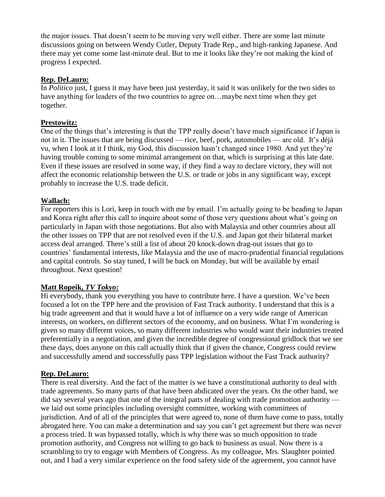the major issues. That doesn't seem to be moving very well either. There are some last minute discussions going on between Wendy Cutler, Deputy Trade Rep., and high-ranking Japanese. And there may yet come some last-minute deal. But to me it looks like they're not making the kind of progress I expected.

#### **Rep. DeLauro:**

In *Politico* just, I guess it may have been just yesterday, it said it was unlikely for the two sides to have anything for leaders of the two countries to agree on...maybe next time when they get together.

#### **Prestowitz:**

One of the things that's interesting is that the TPP really doesn't have much significance if Japan is not in it. The issues that are being discussed — rice, beef, pork, automobiles — are old. It's déjà vu, when I look at it I think, my God, this discussion hasn't changed since 1980. And yet they're having trouble coming to some minimal arrangement on that, which is surprising at this late date. Even if these issues are resolved in some way, if they find a way to declare victory, they will not affect the economic relationship between the U.S. or trade or jobs in any significant way, except probably to increase the U.S. trade deficit.

#### **Wallach:**

For reporters this is Lori, keep in touch with me by email. I'm actually going to be heading to Japan and Korea right after this call to inquire about some of those very questions about what's going on particularly in Japan with those negotiations. But also with Malaysia and other countries about all the other issues on TPP that are not resolved even if the U.S. and Japan got their bilateral market access deal arranged. There's still a list of about 20 knock-down drag-out issues that go to countries' fundamental interests, like Malaysia and the use of macro-prudential financial regulations and capital controls. So stay tuned, I will be back on Monday, but will be available by email throughout. Next question!

#### **Matt Ropeik,** *TV Tokyo***:**

Hi everybody, thank you everything you have to contribute here. I have a question. We've been focused a lot on the TPP here and the provision of Fast Track authority. I understand that this is a big trade agreement and that it would have a lot of influence on a very wide range of American interests, on workers, on different sectors of the economy, and on business. What I'm wondering is given so many different voices, so many different industries who would want their industries treated preferentially in a negotiation, and given the incredible degree of congressional gridlock that we see these days, does anyone on this call actually think that if given the chance, Congress could review and successfully amend and successfully pass TPP legislation without the Fast Track authority?

#### **Rep. DeLauro:**

There is real diversity. And the fact of the matter is we have a constitutional authority to deal with trade agreements. So many parts of that have been abdicated over the years. On the other hand, we did say several years ago that one of the integral parts of dealing with trade promotion authority we laid out some principles including oversight committee, working with committees of jurisdiction. And of all of the principles that were agreed to, none of them have come to pass, totally abrogated here. You can make a determination and say you can't get agreement but there was never a process tried. It was bypassed totally, which is why there was so much opposition to trade promotion authority, and Congress not willing to go back to business as usual. Now there is a scrambling to try to engage with Members of Congress. As my colleague, Mrs. Slaughter pointed out, and I had a very similar experience on the food safety side of the agreement, you cannot have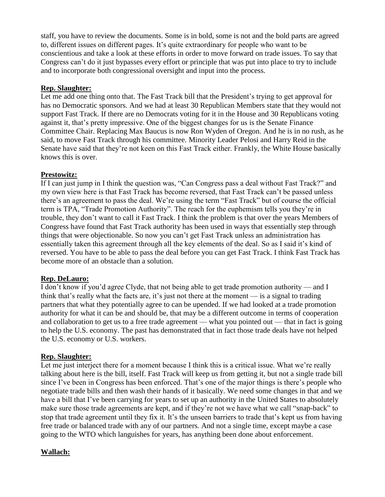staff, you have to review the documents. Some is in bold, some is not and the bold parts are agreed to, different issues on different pages. It's quite extraordinary for people who want to be conscientious and take a look at these efforts in order to move forward on trade issues. To say that Congress can't do it just bypasses every effort or principle that was put into place to try to include and to incorporate both congressional oversight and input into the process.

#### **Rep. Slaughter:**

Let me add one thing onto that. The Fast Track bill that the President's trying to get approval for has no Democratic sponsors. And we had at least 30 Republican Members state that they would not support Fast Track. If there are no Democrats voting for it in the House and 30 Republicans voting against it, that's pretty impressive. One of the biggest changes for us is the Senate Finance Committee Chair. Replacing Max Baucus is now Ron Wyden of Oregon. And he is in no rush, as he said, to move Fast Track through his committee. Minority Leader Pelosi and Harry Reid in the Senate have said that they're not keen on this Fast Track either. Frankly, the White House basically knows this is over.

#### **Prestowitz:**

If I can just jump in I think the question was, "Can Congress pass a deal without Fast Track?" and my own view here is that Fast Track has become reversed, that Fast Track can't be passed unless there's an agreement to pass the deal. We're using the term "Fast Track" but of course the official term is TPA, "Trade Promotion Authority". The reach for the euphemism tells you they're in trouble, they don't want to call it Fast Track. I think the problem is that over the years Members of Congress have found that Fast Track authority has been used in ways that essentially step through things that were objectionable. So now you can't get Fast Track unless an administration has essentially taken this agreement through all the key elements of the deal. So as I said it's kind of reversed. You have to be able to pass the deal before you can get Fast Track. I think Fast Track has become more of an obstacle than a solution.

#### **Rep. DeLauro:**

I don't know if you'd agree Clyde, that not being able to get trade promotion authority — and I think that's really what the facts are, it's just not there at the moment — is a signal to trading partners that what they potentially agree to can be upended. If we had looked at a trade promotion authority for what it can be and should be, that may be a different outcome in terms of cooperation and collaboration to get us to a free trade agreement — what you pointed out — that in fact is going to help the U.S. economy. The past has demonstrated that in fact those trade deals have not helped the U.S. economy or U.S. workers.

#### **Rep. Slaughter:**

Let me just interject there for a moment because I think this is a critical issue. What we're really talking about here is the bill, itself. Fast Track will keep us from getting it, but not a single trade bill since I've been in Congress has been enforced. That's one of the major things is there's people who negotiate trade bills and then wash their hands of it basically. We need some changes in that and we have a bill that I've been carrying for years to set up an authority in the United States to absolutely make sure those trade agreements are kept, and if they're not we have what we call "snap-back" to stop that trade agreement until they fix it. It's the unseen barriers to trade that's kept us from having free trade or balanced trade with any of our partners. And not a single time, except maybe a case going to the WTO which languishes for years, has anything been done about enforcement.

#### **Wallach:**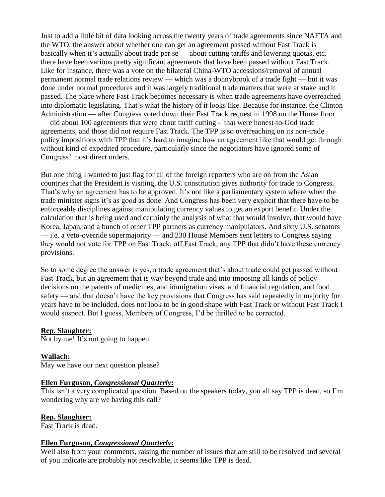Just to add a little bit of data looking across the twenty years of trade agreements since NAFTA and the WTO, the answer about whether one can get an agreement passed without Fast Track is basically when it's actually about trade per se — about cutting tariffs and lowering quotas, etc. there have been various pretty significant agreements that have been passed without Fast Track. Like for instance, there was a vote on the bilateral China-WTO accessions/removal of annual permanent normal trade relations review — which was a donnybrook of a trade fight — but it was done under normal procedures and it was largely traditional trade matters that were at stake and it passed. The place where Fast Track becomes necessary is when trade agreements have overreached into diplomatic legislating. That's what the history of it looks like. Because for instance, the Clinton Administration — after Congress voted down their Fast Track request in 1998 on the House floor — did about 100 agreements that were about tariff cutting - that were honest-to-God trade agreements, and those did not require Fast Track. The TPP is so overreaching on its non-trade policy impositions with TPP that it's hard to imagine how an agreement like that would get through without kind of expedited procedure, particularly since the negotiators have ignored some of Congress' most direct orders.

But one thing I wanted to just flag for all of the foreign reporters who are on from the Asian countries that the President is visiting, the U.S. constitution gives authority for trade to Congress. That's why an agreement has to be approved. It's not like a parliamentary system where when the trade minister signs it's as good as done. And Congress has been very explicit that there have to be enforceable disciplines against manipulating currency values to get an export benefit. Under the calculation that is being used and certainly the analysis of what that would involve, that would have Korea, Japan, and a bunch of other TPP partners as currency manipulators. And sixty U.S. senators — i.e. a veto-override supermajority — and 230 House Members sent letters to Congress saying they would not vote for TPP on Fast Track, off Fast Track, any TPP that didn't have these currency provisions.

So to some degree the answer is yes, a trade agreement that's about trade could get passed without Fast Track, but an agreement that is way beyond trade and into imposing all kinds of policy decisions on the patents of medicines, and immigration visas, and financial regulation, and food safety — and that doesn't have the key provisions that Congress has said repeatedly in majority for years have to be included, does not look to be in good shape with Fast Track or without Fast Track I would suspect. But I guess, Members of Congress, I'd be thrilled to be corrected.

#### **Rep. Slaughter:**

Not by me! It's not going to happen.

## **Wallach:**

May we have our next question please?

#### **Ellen Furguson,** *Congressional Quarterly***:**

This isn't a very complicated question. Based on the speakers today, you all say TPP is dead, so I'm wondering why are we having this call?

#### **Rep. Slaughter:**

Fast Track is dead.

#### **Ellen Furguson,** *Congressional Quarterly***:**

Well also from your comments, raising the number of issues that are still to be resolved and several of you indicate are probably not resolvable, it seems like TPP is dead.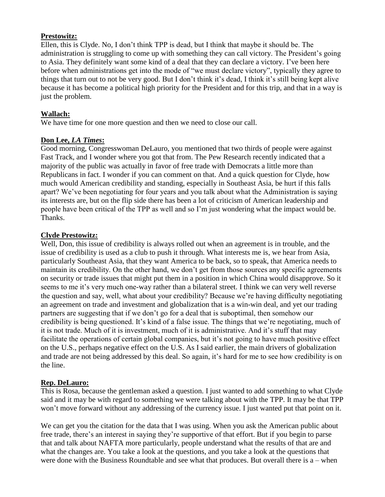#### **Prestowitz:**

Ellen, this is Clyde. No, I don't think TPP is dead, but I think that maybe it should be. The administration is struggling to come up with something they can call victory. The President's going to Asia. They definitely want some kind of a deal that they can declare a victory. I've been here before when administrations get into the mode of "we must declare victory", typically they agree to things that turn out to not be very good. But I don't think it's dead, I think it's still being kept alive because it has become a political high priority for the President and for this trip, and that in a way is just the problem.

#### **Wallach:**

We have time for one more question and then we need to close our call.

#### **Don Lee,** *LA Times***:**

Good morning, Congresswoman DeLauro, you mentioned that two thirds of people were against Fast Track, and I wonder where you got that from. The Pew Research recently indicated that a majority of the public was actually in favor of free trade with Democrats a little more than Republicans in fact. I wonder if you can comment on that. And a quick question for Clyde, how much would American credibility and standing, especially in Southeast Asia, be hurt if this falls apart? We've been negotiating for four years and you talk about what the Administration is saying its interests are, but on the flip side there has been a lot of criticism of American leadership and people have been critical of the TPP as well and so I'm just wondering what the impact would be. Thanks.

#### **Clyde Prestowitz:**

Well, Don, this issue of credibility is always rolled out when an agreement is in trouble, and the issue of credibility is used as a club to push it through. What interests me is, we hear from Asia, particularly Southeast Asia, that they want America to be back, so to speak, that America needs to maintain its credibility. On the other hand, we don't get from those sources any specific agreements on security or trade issues that might put them in a position in which China would disapprove. So it seems to me it's very much one-way rather than a bilateral street. I think we can very well reverse the question and say, well, what about your credibility? Because we're having difficulty negotiating an agreement on trade and investment and globalization that is a win-win deal, and yet our trading partners are suggesting that if we don't go for a deal that is suboptimal, then somehow our credibility is being questioned. It's kind of a false issue. The things that we're negotiating, much of it is not trade. Much of it is investment, much of it is administrative. And it's stuff that may facilitate the operations of certain global companies, but it's not going to have much positive effect on the U.S., perhaps negative effect on the U.S. As I said earlier, the main drivers of globalization and trade are not being addressed by this deal. So again, it's hard for me to see how credibility is on the line.

#### **Rep. DeLauro:**

This is Rosa, because the gentleman asked a question. I just wanted to add something to what Clyde said and it may be with regard to something we were talking about with the TPP. It may be that TPP won't move forward without any addressing of the currency issue. I just wanted put that point on it.

We can get you the citation for the data that I was using. When you ask the American public about free trade, there's an interest in saying they're supportive of that effort. But if you begin to parse that and talk about NAFTA more particularly, people understand what the results of that are and what the changes are. You take a look at the questions, and you take a look at the questions that were done with the Business Roundtable and see what that produces. But overall there is a – when